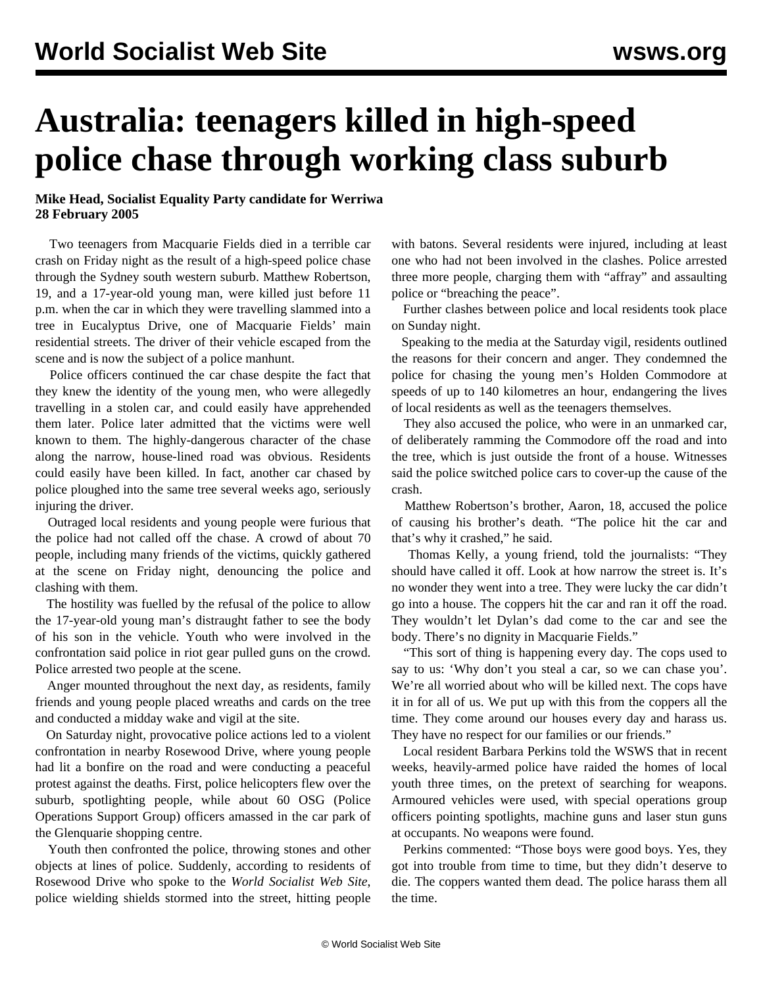## **Australia: teenagers killed in high-speed police chase through working class suburb**

## **Mike Head, Socialist Equality Party candidate for Werriwa 28 February 2005**

 Two teenagers from Macquarie Fields died in a terrible car crash on Friday night as the result of a high-speed police chase through the Sydney south western suburb. Matthew Robertson, 19, and a 17-year-old young man, were killed just before 11 p.m. when the car in which they were travelling slammed into a tree in Eucalyptus Drive, one of Macquarie Fields' main residential streets. The driver of their vehicle escaped from the scene and is now the subject of a police manhunt.

 Police officers continued the car chase despite the fact that they knew the identity of the young men, who were allegedly travelling in a stolen car, and could easily have apprehended them later. Police later admitted that the victims were well known to them. The highly-dangerous character of the chase along the narrow, house-lined road was obvious. Residents could easily have been killed. In fact, another car chased by police ploughed into the same tree several weeks ago, seriously injuring the driver.

 Outraged local residents and young people were furious that the police had not called off the chase. A crowd of about 70 people, including many friends of the victims, quickly gathered at the scene on Friday night, denouncing the police and clashing with them.

 The hostility was fuelled by the refusal of the police to allow the 17-year-old young man's distraught father to see the body of his son in the vehicle. Youth who were involved in the confrontation said police in riot gear pulled guns on the crowd. Police arrested two people at the scene.

 Anger mounted throughout the next day, as residents, family friends and young people placed wreaths and cards on the tree and conducted a midday wake and vigil at the site.

 On Saturday night, provocative police actions led to a violent confrontation in nearby Rosewood Drive, where young people had lit a bonfire on the road and were conducting a peaceful protest against the deaths. First, police helicopters flew over the suburb, spotlighting people, while about 60 OSG (Police Operations Support Group) officers amassed in the car park of the Glenquarie shopping centre.

 Youth then confronted the police, throwing stones and other objects at lines of police. Suddenly, according to residents of Rosewood Drive who spoke to the *World Socialist Web Site*, police wielding shields stormed into the street, hitting people with batons. Several residents were injured, including at least one who had not been involved in the clashes. Police arrested three more people, charging them with "affray" and assaulting police or "breaching the peace".

 Further clashes between police and local residents took place on Sunday night.

 Speaking to the media at the Saturday vigil, residents outlined the reasons for their concern and anger. They condemned the police for chasing the young men's Holden Commodore at speeds of up to 140 kilometres an hour, endangering the lives of local residents as well as the teenagers themselves.

 They also accused the police, who were in an unmarked car, of deliberately ramming the Commodore off the road and into the tree, which is just outside the front of a house. Witnesses said the police switched police cars to cover-up the cause of the crash.

 Matthew Robertson's brother, Aaron, 18, accused the police of causing his brother's death. "The police hit the car and that's why it crashed," he said.

 Thomas Kelly, a young friend, told the journalists: "They should have called it off. Look at how narrow the street is. It's no wonder they went into a tree. They were lucky the car didn't go into a house. The coppers hit the car and ran it off the road. They wouldn't let Dylan's dad come to the car and see the body. There's no dignity in Macquarie Fields."

 "This sort of thing is happening every day. The cops used to say to us: 'Why don't you steal a car, so we can chase you'. We're all worried about who will be killed next. The cops have it in for all of us. We put up with this from the coppers all the time. They come around our houses every day and harass us. They have no respect for our families or our friends."

 Local resident Barbara Perkins told the WSWS that in recent weeks, heavily-armed police have raided the homes of local youth three times, on the pretext of searching for weapons. Armoured vehicles were used, with special operations group officers pointing spotlights, machine guns and laser stun guns at occupants. No weapons were found.

 Perkins commented: "Those boys were good boys. Yes, they got into trouble from time to time, but they didn't deserve to die. The coppers wanted them dead. The police harass them all the time.